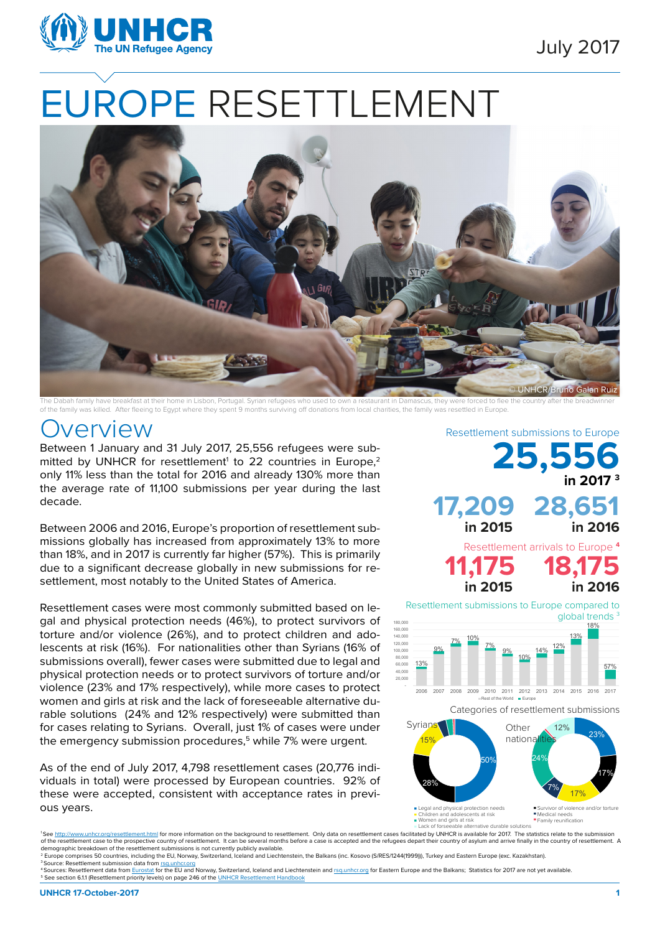

# EUROPE RESETTLEMENT



The Dabah family have breakfast at their home in Lisbon, Portugal. Syrian refugees who used to own a restaurant in Damascus, they were forced to flee the country after the breadwin of the family was killed. After fleeing to Egypt where they spent 9 months surviving off donations from local charities, the family was resettled in Europe.

#### VAIVIEW Resettlement submissions to Europe

Between 1 January and 31 July 2017, 25,556 refugees were submitted by UNHCR for resettlement<sup>1</sup> to 22 countries in Europe,<sup>2</sup> only 11% less than the total for 2016 and already 130% more than the average rate of 11,100 submissions per year during the last decade.

Between 2006 and 2016, Europe's proportion of resettlement submissions globally has increased from approximately 13% to more than 18%, and in 2017 is currently far higher (57%). This is primarily due to a significant decrease globally in new submissions for resettlement, most notably to the United States of America.

Resettlement cases were most commonly submitted based on legal and physical protection needs (46%), to protect survivors of torture and/or violence (26%), and to protect children and adolescents at risk (16%). For nationalities other than Syrians (16% of submissions overall), fewer cases were submitted due to legal and physical protection needs or to protect survivors of torture and/or violence (23% and 17% respectively), while more cases to protect women and girls at risk and the lack of foreseeable alternative durable solutions (24% and 12% respectively) were submitted than for cases relating to Syrians. Overall, just 1% of cases were under the emergency submission procedures,<sup>5</sup> while 7% were urgent.

As of the end of July 2017, 4,798 resettlement cases (20,776 individuals in total) were processed by European countries. 92% of these were accepted, consistent with acceptance rates in previous years.

13% 9% 7% 10%  $\frac{7\%}{9\%}$   $\frac{9\%}{10\%}$  $14\%$   $12\%$ 13% 18% 57% - 20,000 40,000 60,000 80,000 100,000 120,000 140,000 160,000 180,000 2006 2007 2008 2009 2010 2011 2012 2013 2014 2015 2016 2017 Rest of the World **E**urope 23% 12% **25,556 in 2017 3 17,209 28,651 in 2015 in 2016** Resettlement arrivals to Europe **<sup>4</sup> 11,175 18,175 in 2015 in 2016** Categories of resettlement submissions Syrians Other Resettlement submissions to Europe compared to global trends<sup>3</sup>



Legal and physical protection needs Children and adolescents at risk Women and girls at risk Lack of forseeable alternative durable solutions

Medical needs Family reunification

See http://www.unhcr.org/resettlement.html for more information on the background to resettlement. Only data on resettlement cases facilitated by UNHCR is available for 2017. The statistics relate to the submission of the resettlement case to the prospective country of resettlement. It can be several months before a case is accepted and the refugees depart their country of asylum and arrive finally in the country of resettlement. A<br>d

<sup>2</sup> Europe comprises 50 countries, including the EU, Norway, Switzerland, Iceland and Liechtenstein, the Balkans (inc. Kosovo (S/RES/1244(1999))), Turkey and Eastern Europe (exc. Kazakhstan).

<sup>&</sup>lt;sup>3</sup> Source: Resettlement submission data from rsq.un A Sources: Resettlement data from [Eurostat](http://ec.europa.eu/eurostat/data/statistics-a-z/abc) for the EU and Norway, Switzerland, Iceland and Liechtenstein and [rsq.unhcr.org](http://rsq.unhcr.org/) for Eastern Europe and the Balkans; Statistics for 2017 are not yet available. 5 See section 6.1.1 (Resettlement priority levels) on page 246 of the [UNHCR Resettlement Handbook](http://www.unhcr.org/46f7c0ee2.pdf)